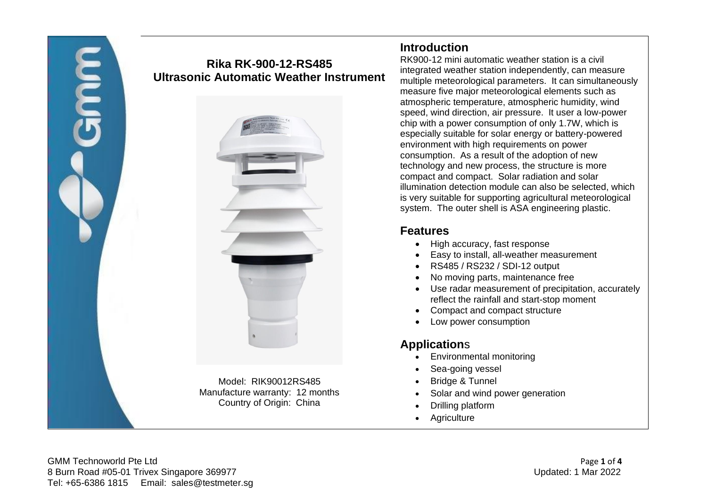

# **Rika RK-900-12-RS485 Ultrasonic Automatic Weather Instrument**



### **Introduction**

RK900-12 mini automatic weather station is a civil integrated weather station independently, can measure multiple meteorological parameters. It can simultaneously measure five major meteorological elements such as atmospheric temperature, atmospheric humidity, wind speed, wind direction, air pressure. It user a low-power chip with a power consumption of only 1.7W, which is especially suitable for solar energy or battery-powered environment with high requirements on power consumption. As a result of the adoption of new technology and new process, the structure is more compact and compact. Solar radiation and solar illumination detection module can also be selected, which is very suitable for supporting agricultural meteorological system. The outer shell is ASA engineering plastic.

### **Features**

- High accuracy, fast response
- Easy to install, all-weather measurement
- RS485 / RS232 / SDI-12 output
- No moving parts, maintenance free
- Use radar measurement of precipitation, accurately reflect the rainfall and start-stop moment
- Compact and compact structure
- Low power consumption

# **Application**s

- Environmental monitoring
- Sea-going vessel
- Bridge & Tunnel
- Solar and wind power generation
- Drilling platform
- **Agriculture**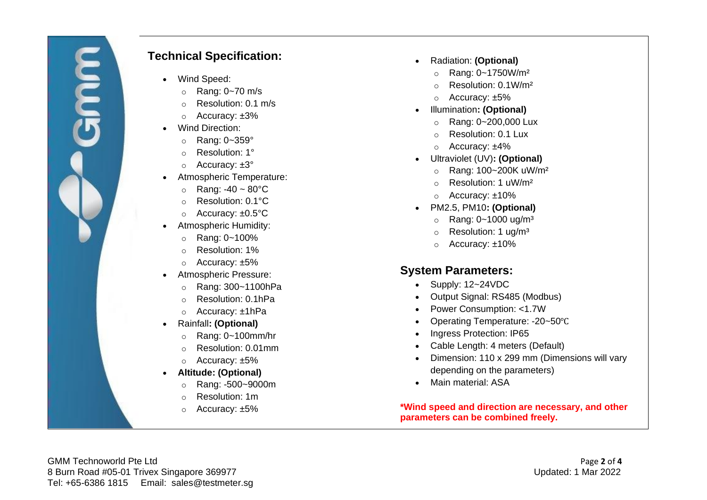## **Technical Specification:**

- Wind Speed:
	- o Rang: 0~70 m/s
	- o Resolution: 0.1 m/s
	- o Accuracy: ±3%
- Wind Direction:
	- $\circ$  Rang: 0~359 $\circ$
	- o Resolution: 1°
	- o Accuracy: ±3°
- Atmospheric Temperature:
	- $\circ$  Rang: -40 ~ 80 $\degree$ C
	- o Resolution: 0.1°C
	- o Accuracy: ±0.5°C
- Atmospheric Humidity:
	- o Rang: 0~100%
	- o Resolution: 1%
	- o Accuracy: ±5%
- Atmospheric Pressure:
	- o Rang: 300~1100hPa
	- o Resolution: 0.1hPa
	- o Accuracy: ±1hPa
- Rainfall**: (Optional)**
	- o Rang: 0~100mm/hr
	- o Resolution: 0.01mm
	- o Accuracy: ±5%
- **Altitude: (Optional)**
	- o Rang: -500~9000m
	- o Resolution: 1m
	- o Accuracy: ±5%
- Radiation: **(Optional)**
	- o Rang: 0~1750W/m²
	- o Resolution: 0.1W/m²
	- o Accuracy: ±5%
- Illumination**: (Optional)**
	- o Rang: 0~200,000 Lux
	- o Resolution: 0.1 Lux
	- o Accuracy: ±4%
- Ultraviolet (UV)**: (Optional)**
	- o Rang: 100~200K uW/m²
	- o Resolution: 1 uW/m²
	- o Accuracy: ±10%
- PM2.5, PM10**: (Optional)**
	- $\circ$  Rang: 0~1000 ug/m<sup>3</sup>
	- o Resolution: 1 ug/m³
	- o Accuracy: ±10%

#### **System Parameters:**

- Supply: 12~24VDC
- Output Signal: RS485 (Modbus)
- Power Consumption: <1.7W
- Operating Temperature: -20~50℃
- Ingress Protection: IP65
- Cable Length: 4 meters (Default)
- Dimension: 110 x 299 mm (Dimensions will vary depending on the parameters)
- Main material: ASA

**\*Wind speed and direction are necessary, and other parameters can be combined freely.**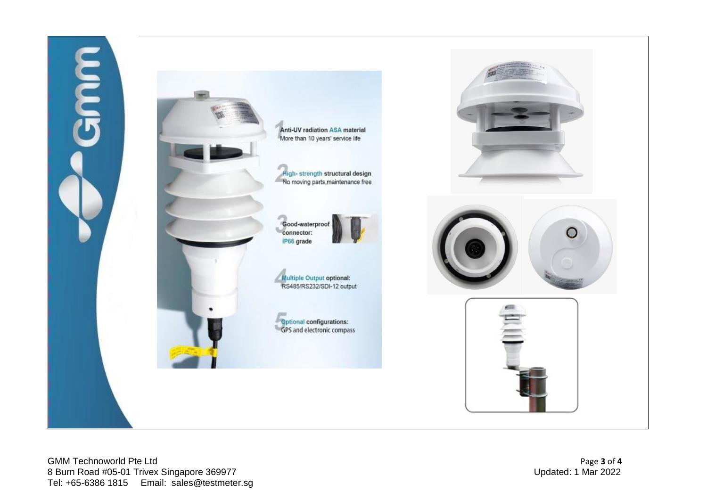